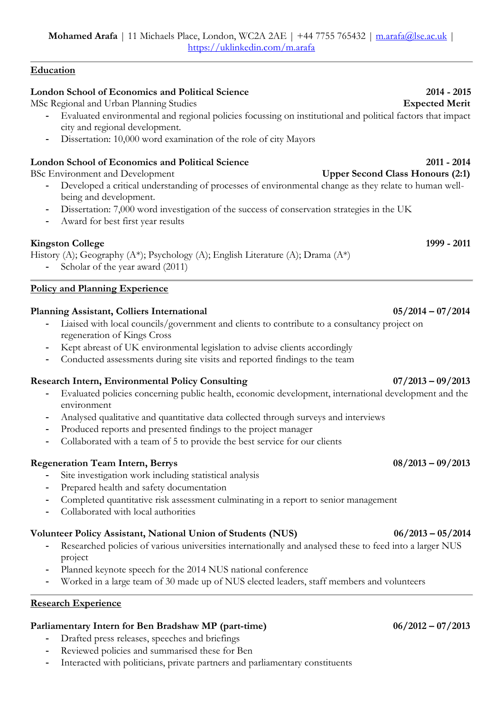## **Education**

# **London School of Economics and Political Science 2014 - 2015**

MSc Regional and Urban Planning Studies **Expected Merit**

- **-** Evaluated environmental and regional policies focussing on institutional and political factors that impact city and regional development.
- **-** Dissertation: 10,000 word examination of the role of city Mayors

## **London School of Economics and Political Science 2011 - 2014**

BSc Environment and Development **Upper Second Class Honours (2:1)** 

- **-** Developed a critical understanding of processes of environmental change as they relate to human wellbeing and development.
- **-** Dissertation: 7,000 word investigation of the success of conservation strategies in the UK
- **-** Award for best first year results

# **Kingston College 1999 - 2011**

History (A); Geography (A\*); Psychology (A); English Literature (A); Drama (A\*)

**-** Scholar of the year award (2011)

## **Policy and Planning Experience**

## **Planning Assistant, Colliers International 05/2014 – 07/2014**

- **-** Liaised with local councils/government and clients to contribute to a consultancy project on regeneration of Kings Cross
- **-** Kept abreast of UK environmental legislation to advise clients accordingly
- **-** Conducted assessments during site visits and reported findings to the team

## **Research Intern, Environmental Policy Consulting 07/2013 – 09/2013**

- **-** Evaluated policies concerning public health, economic development, international development and the environment
- **-** Analysed qualitative and quantitative data collected through surveys and interviews
- **-** Produced reports and presented findings to the project manager
- **-** Collaborated with a team of 5 to provide the best service for our clients

# **Regeneration Team Intern, Berrys 08/2013 – 09/2013**

- **-** Site investigation work including statistical analysis
- **-** Prepared health and safety documentation
- **-** Completed quantitative risk assessment culminating in a report to senior management
- **-** Collaborated with local authorities

# **Volunteer Policy Assistant, National Union of Students (NUS) 06/2013 – 05/2014**

- **-** Researched policies of various universities internationally and analysed these to feed into a larger NUS project
- **-** Planned keynote speech for the 2014 NUS national conference
- **-** Worked in a large team of 30 made up of NUS elected leaders, staff members and volunteers

## **Research Experience**

# **Parliamentary Intern for Ben Bradshaw MP (part-time) 06/2012 – 07/2013**

- **-** Drafted press releases, speeches and briefings
- **-** Reviewed policies and summarised these for Ben
- **-** Interacted with politicians, private partners and parliamentary constituents